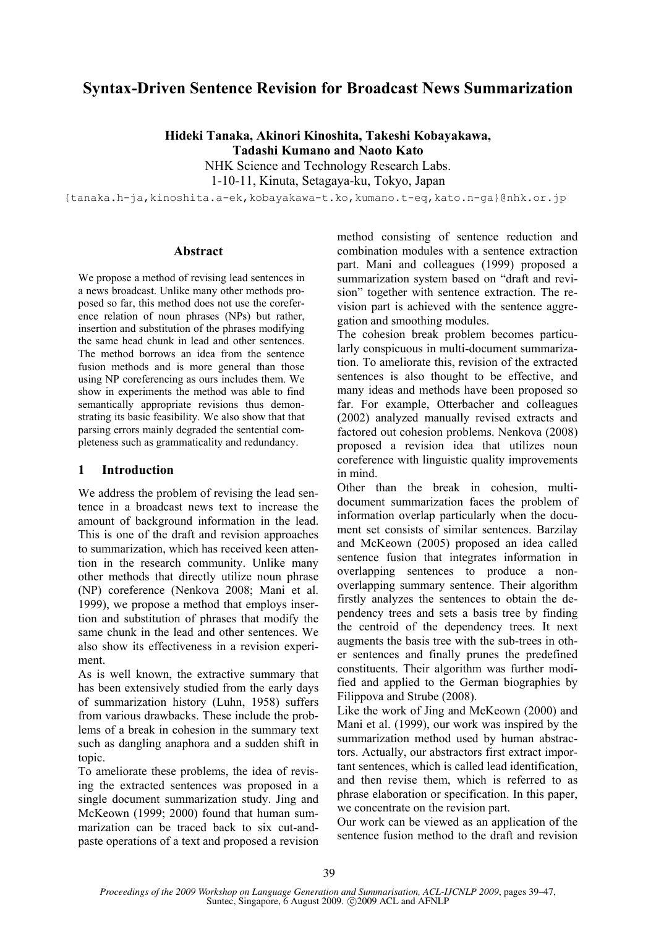# **Syntax-Driven Sentence Revision for Broadcast News Summarization**

**Hideki Tanaka, Akinori Kinoshita, Takeshi Kobayakawa,** 

**Tadashi Kumano and Naoto Kato** 

NHK Science and Technology Research Labs.

1-10-11, Kinuta, Setagaya-ku, Tokyo, Japan

{tanaka.h-ja,kinoshita.a-ek,kobayakawa-t.ko,kumano.t-eq,kato.n-ga}@nhk.or.jp

#### **Abstract**

We propose a method of revising lead sentences in a news broadcast. Unlike many other methods proposed so far, this method does not use the coreference relation of noun phrases (NPs) but rather, insertion and substitution of the phrases modifying the same head chunk in lead and other sentences. The method borrows an idea from the sentence fusion methods and is more general than those using NP coreferencing as ours includes them. We show in experiments the method was able to find semantically appropriate revisions thus demonstrating its basic feasibility. We also show that that parsing errors mainly degraded the sentential completeness such as grammaticality and redundancy.

### **1 Introduction**

We address the problem of revising the lead sentence in a broadcast news text to increase the amount of background information in the lead. This is one of the draft and revision approaches to summarization, which has received keen attention in the research community. Unlike many other methods that directly utilize noun phrase (NP) coreference (Nenkova 2008; Mani et al. 1999), we propose a method that employs insertion and substitution of phrases that modify the same chunk in the lead and other sentences. We also show its effectiveness in a revision experiment.

As is well known, the extractive summary that has been extensively studied from the early days of summarization history (Luhn, 1958) suffers from various drawbacks. These include the problems of a break in cohesion in the summary text such as dangling anaphora and a sudden shift in topic.

To ameliorate these problems, the idea of revising the extracted sentences was proposed in a single document summarization study. Jing and McKeown (1999; 2000) found that human summarization can be traced back to six cut-andpaste operations of a text and proposed a revision method consisting of sentence reduction and combination modules with a sentence extraction part. Mani and colleagues (1999) proposed a summarization system based on "draft and revision" together with sentence extraction. The revision part is achieved with the sentence aggregation and smoothing modules.

The cohesion break problem becomes particularly conspicuous in multi-document summarization. To ameliorate this, revision of the extracted sentences is also thought to be effective, and many ideas and methods have been proposed so far. For example, Otterbacher and colleagues (2002) analyzed manually revised extracts and factored out cohesion problems. Nenkova (2008) proposed a revision idea that utilizes noun coreference with linguistic quality improvements in mind.

Other than the break in cohesion, multidocument summarization faces the problem of information overlap particularly when the document set consists of similar sentences. Barzilay and McKeown (2005) proposed an idea called sentence fusion that integrates information in overlapping sentences to produce a nonoverlapping summary sentence. Their algorithm firstly analyzes the sentences to obtain the dependency trees and sets a basis tree by finding the centroid of the dependency trees. It next augments the basis tree with the sub-trees in other sentences and finally prunes the predefined constituents. Their algorithm was further modified and applied to the German biographies by Filippova and Strube (2008).

Like the work of Jing and McKeown (2000) and Mani et al. (1999), our work was inspired by the summarization method used by human abstractors. Actually, our abstractors first extract important sentences, which is called lead identification, and then revise them, which is referred to as phrase elaboration or specification. In this paper, we concentrate on the revision part.

Our work can be viewed as an application of the sentence fusion method to the draft and revision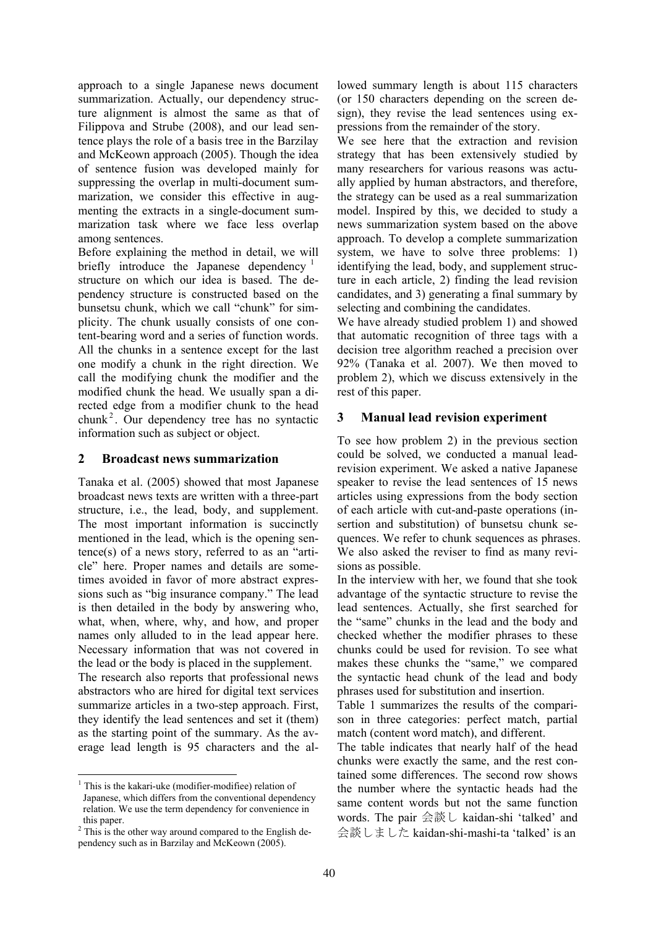approach to a single Japanese news document summarization. Actually, our dependency structure alignment is almost the same as that of Filippova and Strube (2008), and our lead sentence plays the role of a basis tree in the Barzilay and McKeown approach (2005). Though the idea of sentence fusion was developed mainly for suppressing the overlap in multi-document summarization, we consider this effective in augmenting the extracts in a single-document summarization task where we face less overlap among sentences.

Before explaining the method in detail, we will briefly introduce the Japanese dependency  $\frac{1}{1}$ structure on which our idea is based. The dependency structure is constructed based on the bunsetsu chunk, which we call "chunk" for simplicity. The chunk usually consists of one content-bearing word and a series of function words. All the chunks in a sentence except for the last one modify a chunk in the right direction. We call the modifying chunk the modifier and the modified chunk the head. We usually span a directed edge from a modifier chunk to the head  $chunk<sup>2</sup>$ . Our dependency tree has no syntactic information such as subject or object.

### **2 Broadcast news summarization**

Tanaka et al. (2005) showed that most Japanese broadcast news texts are written with a three-part structure, i.e., the lead, body, and supplement. The most important information is succinctly mentioned in the lead, which is the opening sentence(s) of a news story, referred to as an "article" here. Proper names and details are sometimes avoided in favor of more abstract expressions such as "big insurance company." The lead is then detailed in the body by answering who, what, when, where, why, and how, and proper names only alluded to in the lead appear here. Necessary information that was not covered in the lead or the body is placed in the supplement.

The research also reports that professional news abstractors who are hired for digital text services summarize articles in a two-step approach. First, they identify the lead sentences and set it (them) as the starting point of the summary. As the average lead length is 95 characters and the al-

lowed summary length is about 115 characters (or 150 characters depending on the screen design), they revise the lead sentences using expressions from the remainder of the story.

We see here that the extraction and revision strategy that has been extensively studied by many researchers for various reasons was actually applied by human abstractors, and therefore, the strategy can be used as a real summarization model. Inspired by this, we decided to study a news summarization system based on the above approach. To develop a complete summarization system, we have to solve three problems: 1) identifying the lead, body, and supplement structure in each article, 2) finding the lead revision candidates, and 3) generating a final summary by selecting and combining the candidates.

We have already studied problem 1) and showed that automatic recognition of three tags with a decision tree algorithm reached a precision over 92% (Tanaka et al. 2007). We then moved to problem 2), which we discuss extensively in the rest of this paper.

## **3 Manual lead revision experiment**

To see how problem 2) in the previous section could be solved, we conducted a manual leadrevision experiment. We asked a native Japanese speaker to revise the lead sentences of 15 news articles using expressions from the body section of each article with cut-and-paste operations (insertion and substitution) of bunsetsu chunk sequences. We refer to chunk sequences as phrases. We also asked the reviser to find as many revisions as possible.

In the interview with her, we found that she took advantage of the syntactic structure to revise the lead sentences. Actually, she first searched for the "same" chunks in the lead and the body and checked whether the modifier phrases to these chunks could be used for revision. To see what makes these chunks the "same," we compared the syntactic head chunk of the lead and body phrases used for substitution and insertion.

Table 1 summarizes the results of the comparison in three categories: perfect match, partial match (content word match), and different.

The table indicates that nearly half of the head chunks were exactly the same, and the rest contained some differences. The second row shows the number where the syntactic heads had the same content words but not the same function words. The pair 会談し kaidan-shi 'talked' and 会談しました kaidan-shi-mashi-ta 'talked' is an

<sup>&</sup>lt;sup>1</sup> This is the kakari-uke (modifier-modifiee) relation of Japanese, which differs from the conventional dependency relation. We use the term dependency for convenience in this paper.

 $2^2$  This is the other way around compared to the English dependency such as in Barzilay and McKeown (2005).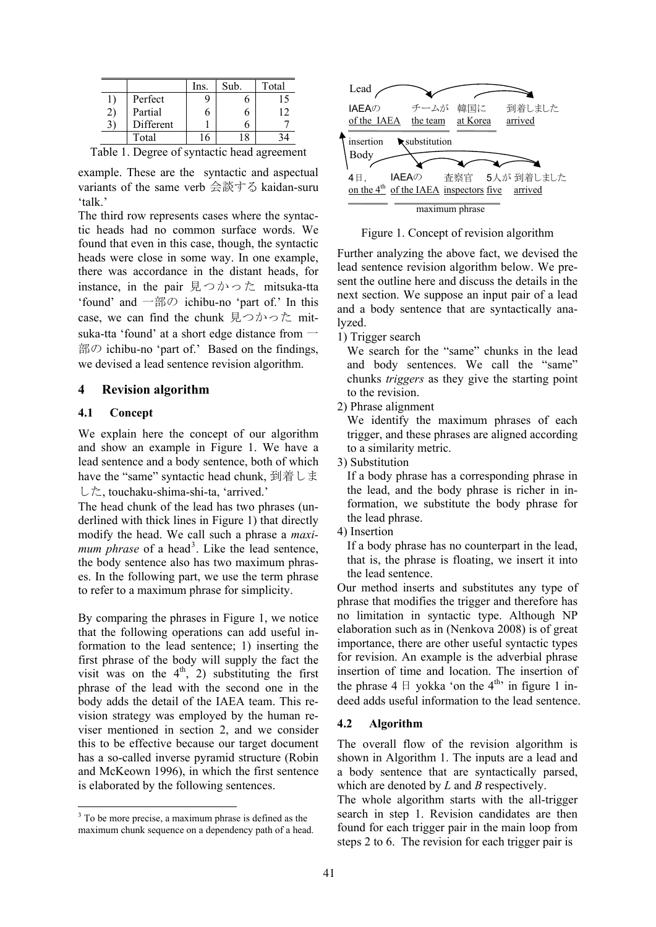|           | Ins. | Sub. | Total |
|-----------|------|------|-------|
| Perfect   |      |      |       |
| Partial   |      |      | 12    |
| Different |      |      |       |
| Total     |      |      |       |

Table 1. Degree of syntactic head agreement

example. These are the syntactic and aspectual variants of the same verb 会談する kaidan-suru 'talk.'

The third row represents cases where the syntactic heads had no common surface words. We found that even in this case, though, the syntactic heads were close in some way. In one example, there was accordance in the distant heads, for instance, in the pair 見つかった mitsuka-tta 'found' and 一部の ichibu-no 'part of.' In this case, we can find the chunk 見つかった mitsuka-tta 'found' at a short edge distance from  $\overline{\phantom{a}}$ 部の ichibu-no 'part of.' Based on the findings, we devised a lead sentence revision algorithm.

### **4 Revision algorithm**

#### **4.1 Concept**

We explain here the concept of our algorithm and show an example in Figure 1. We have a lead sentence and a body sentence, both of which have the "same" syntactic head chunk, 到着しま した, touchaku-shima-shi-ta, 'arrived.'

The head chunk of the lead has two phrases (underlined with thick lines in Figure 1) that directly modify the head. We call such a phrase a *maxi*mum phrase of a head<sup>3</sup>. Like the lead sentence, the body sentence also has two maximum phrases. In the following part, we use the term phrase to refer to a maximum phrase for simplicity.

By comparing the phrases in Figure 1, we notice that the following operations can add useful information to the lead sentence; 1) inserting the first phrase of the body will supply the fact the visit was on the  $4<sup>th</sup>$ , 2) substituting the first phrase of the lead with the second one in the body adds the detail of the IAEA team. This revision strategy was employed by the human reviser mentioned in section 2, and we consider this to be effective because our target document has a so-called inverse pyramid structure (Robin and McKeown 1996), in which the first sentence is elaborated by the following sentences.



Figure 1. Concept of revision algorithm

Further analyzing the above fact, we devised the lead sentence revision algorithm below. We present the outline here and discuss the details in the next section. We suppose an input pair of a lead and a body sentence that are syntactically analyzed.

1) Trigger search

We search for the "same" chunks in the lead and body sentences. We call the "same" chunks *triggers* as they give the starting point to the revision.

2) Phrase alignment

We identify the maximum phrases of each trigger, and these phrases are aligned according to a similarity metric.

3) Substitution

If a body phrase has a corresponding phrase in the lead, and the body phrase is richer in information, we substitute the body phrase for the lead phrase.

4) Insertion

If a body phrase has no counterpart in the lead, that is, the phrase is floating, we insert it into the lead sentence.

Our method inserts and substitutes any type of phrase that modifies the trigger and therefore has no limitation in syntactic type. Although NP elaboration such as in (Nenkova 2008) is of great importance, there are other useful syntactic types for revision. An example is the adverbial phrase insertion of time and location. The insertion of the phrase  $4 \text{ } \square$  yokka 'on the  $4^{\text{th}}$  in figure 1 indeed adds useful information to the lead sentence.

#### **4.2 Algorithm**

The overall flow of the revision algorithm is shown in Algorithm 1. The inputs are a lead and a body sentence that are syntactically parsed, which are denoted by *L* and *B* respectively.

The whole algorithm starts with the all-trigger search in step 1. Revision candidates are then found for each trigger pair in the main loop from steps 2 to 6. The revision for each trigger pair is

<sup>&</sup>lt;sup>3</sup> To be more precise, a maximum phrase is defined as the maximum chunk sequence on a dependency path of a head.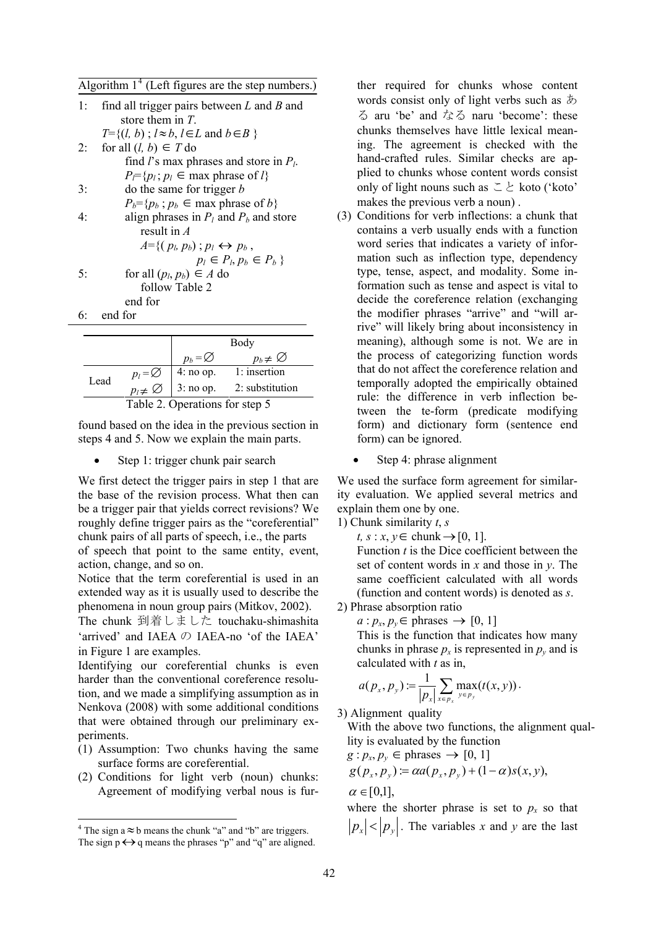Algorithm  $1<sup>4</sup>$  (Left figures are the step numbers.)

| 1: | find all trigger pairs between $L$ and $B$ and             |
|----|------------------------------------------------------------|
|    | store them in $T$ .                                        |
|    | $T=\{(l, b): l \approx b, l \in L \text{ and } b \in B\}$  |
| 2: | for all $(l, b) \in T$ do                                  |
|    | find l's max phrases and store in $P_l$ .                  |
|    | $P_{\overline{C}}\{p_i; p_i \in \text{max phrase of } l\}$ |
| 3: | do the same for trigger $b$                                |
|    | $P_b = \{p_b : p_b \in \text{max phrase of } b\}$          |
| 4: | align phrases in $P_l$ and $P_b$ and store                 |
|    | result in $\overline{A}$                                   |
|    | $A = \{ (p_b, p_b) ; p_l \leftrightarrow p_b,$             |
|    | $p_l \in P_l, p_b \in P_b$                                 |
| 5: | for all $(p_l, p_b) \in A$ do                              |
|    | follow Table 2                                             |
|    | end for                                                    |
| 6: | end for                                                    |

|                                |                                               |                     | Body                 |
|--------------------------------|-----------------------------------------------|---------------------|----------------------|
|                                |                                               | $p_b = \varnothing$ | $p_b \neq \emptyset$ |
| Lead                           |                                               | 4: no op.           | 1: insertion         |
|                                | $p_l = \varnothing$<br>$p_l \neq \varnothing$ | $3:no$ op.          | 2: substitution      |
| Table 2. Operations for step 5 |                                               |                     |                      |

found based on the idea in the previous section in steps 4 and 5. Now we explain the main parts.

Step 1: trigger chunk pair search

We first detect the trigger pairs in step 1 that are the base of the revision process. What then can be a trigger pair that yields correct revisions? We roughly define trigger pairs as the "coreferential" chunk pairs of all parts of speech, i.e., the parts

of speech that point to the same entity, event, action, change, and so on.

Notice that the term coreferential is used in an extended way as it is usually used to describe the phenomena in noun group pairs (Mitkov, 2002).

The chunk 到着しました touchaku-shimashita 'arrived' and IAEA の IAEA-no 'of the IAEA' in Figure 1 are examples.

Identifying our coreferential chunks is even harder than the conventional coreference resolution, and we made a simplifying assumption as in Nenkova (2008) with some additional conditions that were obtained through our preliminary experiments.

- (1) Assumption: Two chunks having the same surface forms are coreferential.
- (2) Conditions for light verb (noun) chunks: Agreement of modifying verbal nous is fur-

ther required for chunks whose content words consist only of light verbs such as  $\ddot{\phi}$ る aru 'be' and なる naru 'become': these chunks themselves have little lexical meaning. The agreement is checked with the hand-crafted rules. Similar checks are applied to chunks whose content words consist only of light nouns such as  $\subseteq \geq$  koto ('koto' makes the previous verb a noun) .

- (3) Conditions for verb inflections: a chunk that contains a verb usually ends with a function word series that indicates a variety of information such as inflection type, dependency type, tense, aspect, and modality. Some information such as tense and aspect is vital to decide the coreference relation (exchanging the modifier phrases "arrive" and "will arrive" will likely bring about inconsistency in meaning), although some is not. We are in the process of categorizing function words that do not affect the coreference relation and temporally adopted the empirically obtained rule: the difference in verb inflection between the te-form (predicate modifying form) and dictionary form (sentence end form) can be ignored.
	- Step 4: phrase alignment

We used the surface form agreement for similarity evaluation. We applied several metrics and explain them one by one.

1) Chunk similarity *t*, *s*

 $t, s: x, y \in \text{chunk} \rightarrow [0, 1].$ Function *t* is the Dice coefficient between the set of content words in *x* and those in *y*. The same coefficient calculated with all words (function and content words) is denoted as *s*.

2) Phrase absorption ratio

 $a: p_x, p_y \in \text{phrases} \rightarrow [0, 1]$ This is the function that indicates how many chunks in phrase  $p_x$  is represented in  $p_y$  and is calculated with *t* as in,

$$
a(p_x, p_y) := \frac{1}{|p_x|} \sum_{x \in p_x} \max_{y \in p_y} (t(x, y)).
$$

3) Alignment quality

With the above two functions, the alignment quallity is evaluated by the function

$$
g: p_x, p_y \in \text{phrases} \to [0, 1]
$$

$$
g(p_x, p_y) = \alpha a(p_x, p_y) + (1 - \alpha)s(x, y),
$$

 $\alpha \in [0,1],$ 

where the shorter phrase is set to  $p_x$  so that  $|p_x| < |p_y|$ . The variables *x* and *y* are the last

 $\frac{4}{\pi}$  The sign a  $\approx$  b means the chunk "a" and "b" are triggers. The sign  $p \leftrightarrow q$  means the phrases "p" and "q" are aligned.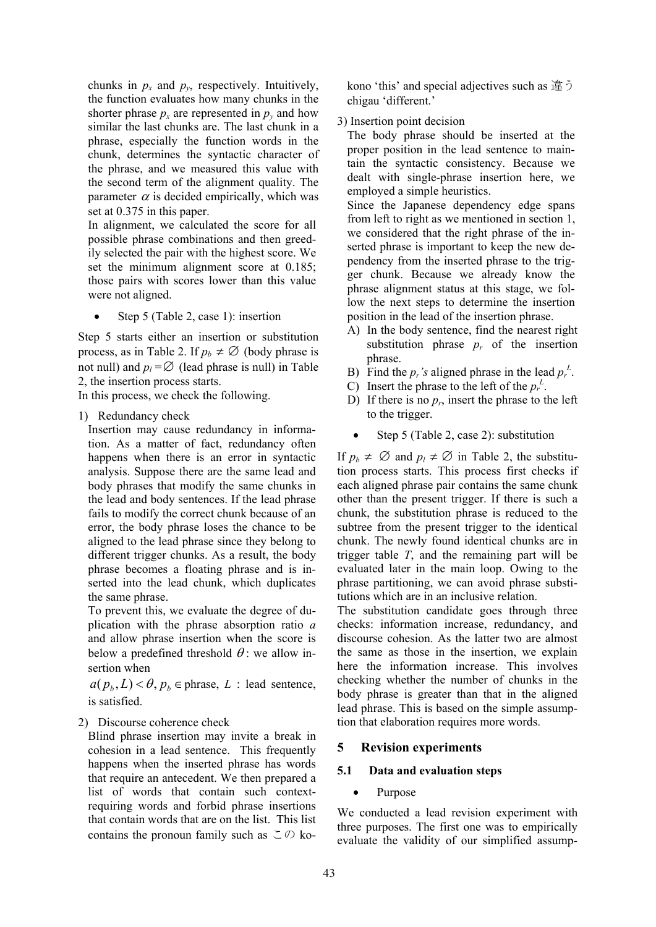chunks in  $p_x$  and  $p_y$ , respectively. Intuitively, the function evaluates how many chunks in the shorter phrase  $p_x$  are represented in  $p_y$  and how similar the last chunks are. The last chunk in a phrase, especially the function words in the chunk, determines the syntactic character of the phrase, and we measured this value with the second term of the alignment quality. The parameter  $\alpha$  is decided empirically, which was set at 0.375 in this paper.

In alignment, we calculated the score for all possible phrase combinations and then greedily selected the pair with the highest score. We set the minimum alignment score at 0.185; those pairs with scores lower than this value were not aligned.

Step 5 (Table 2, case 1): insertion

Step 5 starts either an insertion or substitution process, as in Table 2. If  $p_b \neq \emptyset$  (body phrase is not null) and  $p_l = \emptyset$  (lead phrase is null) in Table 2, the insertion process starts.

In this process, we check the following.

1) Redundancy check

Insertion may cause redundancy in information. As a matter of fact, redundancy often happens when there is an error in syntactic analysis. Suppose there are the same lead and body phrases that modify the same chunks in the lead and body sentences. If the lead phrase fails to modify the correct chunk because of an error, the body phrase loses the chance to be aligned to the lead phrase since they belong to different trigger chunks. As a result, the body phrase becomes a floating phrase and is inserted into the lead chunk, which duplicates the same phrase.

To prevent this, we evaluate the degree of duplication with the phrase absorption ratio *a* and allow phrase insertion when the score is below a predefined threshold  $\theta$ : we allow insertion when

 $a(p_h, L) < \theta, p_h \in \text{phrase}, L$  : lead sentence, is satisfied.

2) Discourse coherence check

Blind phrase insertion may invite a break in cohesion in a lead sentence. This frequently happens when the inserted phrase has words that require an antecedent. We then prepared a list of words that contain such contextrequiring words and forbid phrase insertions that contain words that are on the list. This list contains the pronoun family such as  $\subset \mathcal{D}$  ko-

kono 'this' and special adjectives such as 違う chigau 'different.'

3) Insertion point decision

The body phrase should be inserted at the proper position in the lead sentence to maintain the syntactic consistency. Because we dealt with single-phrase insertion here, we employed a simple heuristics.

Since the Japanese dependency edge spans from left to right as we mentioned in section 1, we considered that the right phrase of the inserted phrase is important to keep the new dependency from the inserted phrase to the trigger chunk. Because we already know the phrase alignment status at this stage, we follow the next steps to determine the insertion position in the lead of the insertion phrase.

- A) In the body sentence, find the nearest right substitution phrase  $p_r$  of the insertion phrase.
- B) Find the  $p_r$ 's aligned phrase in the lead  $p_r^L$ .
- C) Insert the phrase to the left of the  $p_r^L$ .
- D) If there is no  $p_r$ , insert the phrase to the left to the trigger.
- Step 5 (Table 2, case 2): substitution

If  $p_b \neq \emptyset$  and  $p_l \neq \emptyset$  in Table 2, the substitution process starts. This process first checks if each aligned phrase pair contains the same chunk other than the present trigger. If there is such a chunk, the substitution phrase is reduced to the subtree from the present trigger to the identical chunk. The newly found identical chunks are in trigger table *T*, and the remaining part will be evaluated later in the main loop. Owing to the phrase partitioning, we can avoid phrase substitutions which are in an inclusive relation.

The substitution candidate goes through three checks: information increase, redundancy, and discourse cohesion. As the latter two are almost the same as those in the insertion, we explain here the information increase. This involves checking whether the number of chunks in the body phrase is greater than that in the aligned lead phrase. This is based on the simple assumption that elaboration requires more words.

## **5 Revision experiments**

## **5.1 Data and evaluation steps**

## • Purpose

We conducted a lead revision experiment with three purposes. The first one was to empirically evaluate the validity of our simplified assump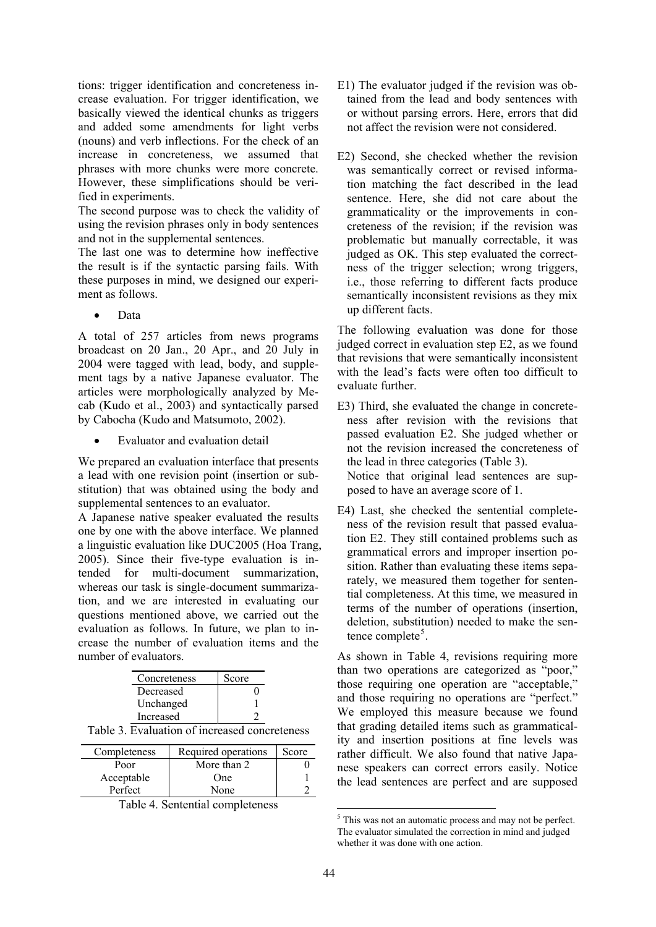tions: trigger identification and concreteness increase evaluation. For trigger identification, we basically viewed the identical chunks as triggers and added some amendments for light verbs (nouns) and verb inflections. For the check of an increase in concreteness, we assumed that phrases with more chunks were more concrete. However, these simplifications should be verified in experiments.

The second purpose was to check the validity of using the revision phrases only in body sentences and not in the supplemental sentences.

The last one was to determine how ineffective the result is if the syntactic parsing fails. With these purposes in mind, we designed our experiment as follows.

• Data

A total of 257 articles from news programs broadcast on 20 Jan., 20 Apr., and 20 July in 2004 were tagged with lead, body, and supplement tags by a native Japanese evaluator. The articles were morphologically analyzed by Mecab (Kudo et al., 2003) and syntactically parsed by Cabocha (Kudo and Matsumoto, 2002).

Evaluator and evaluation detail

We prepared an evaluation interface that presents a lead with one revision point (insertion or substitution) that was obtained using the body and supplemental sentences to an evaluator.

A Japanese native speaker evaluated the results one by one with the above interface. We planned a linguistic evaluation like DUC2005 (Hoa Trang, 2005). Since their five-type evaluation is intended for multi-document summarization, whereas our task is single-document summarization, and we are interested in evaluating our questions mentioned above, we carried out the evaluation as follows. In future, we plan to increase the number of evaluation items and the number of evaluators.

| Concreteness | Score |
|--------------|-------|
| Decreased    |       |
| Unchanged    |       |
| Increased    |       |
|              |       |

Table 3. Evaluation of increased concreteness

| Completeness | Required operations | Score |
|--------------|---------------------|-------|
| Poor         | More than 2         |       |
| Acceptable   | One                 |       |
| Perfect      | None                |       |

Table 4. Sentential completeness

- E1) The evaluator judged if the revision was obtained from the lead and body sentences with or without parsing errors. Here, errors that did not affect the revision were not considered.
- E2) Second, she checked whether the revision was semantically correct or revised information matching the fact described in the lead sentence. Here, she did not care about the grammaticality or the improvements in concreteness of the revision; if the revision was problematic but manually correctable, it was judged as OK. This step evaluated the correctness of the trigger selection; wrong triggers, i.e., those referring to different facts produce semantically inconsistent revisions as they mix up different facts.

The following evaluation was done for those judged correct in evaluation step E2, as we found that revisions that were semantically inconsistent with the lead's facts were often too difficult to evaluate further.

- E3) Third, she evaluated the change in concreteness after revision with the revisions that passed evaluation E2. She judged whether or not the revision increased the concreteness of the lead in three categories (Table 3). Notice that original lead sentences are supposed to have an average score of 1.
- E4) Last, she checked the sentential completeness of the revision result that passed evaluation E2. They still contained problems such as grammatical errors and improper insertion position. Rather than evaluating these items separately, we measured them together for sentential completeness. At this time, we measured in terms of the number of operations (insertion, deletion, substitution) needed to make the sentence complete<sup>5</sup>.

As shown in Table 4, revisions requiring more than two operations are categorized as "poor," those requiring one operation are "acceptable," and those requiring no operations are "perfect." We employed this measure because we found that grading detailed items such as grammaticality and insertion positions at fine levels was rather difficult. We also found that native Japanese speakers can correct errors easily. Notice the lead sentences are perfect and are supposed

 <sup>5</sup> This was not an automatic process and may not be perfect. The evaluator simulated the correction in mind and judged whether it was done with one action.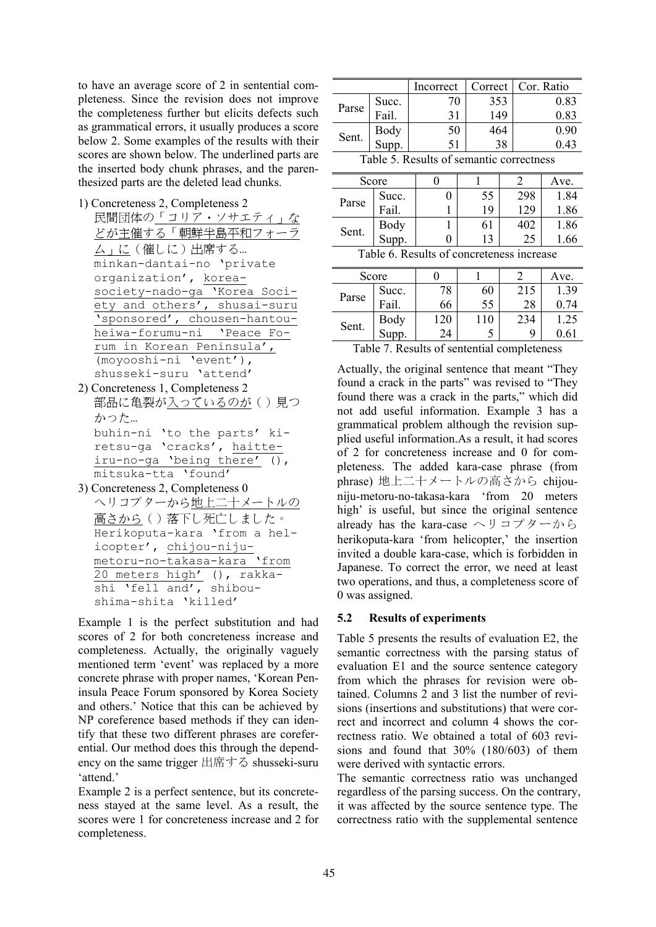to have an average score of 2 in sentential completeness. Since the revision does not improve the completeness further but elicits defects such as grammatical errors, it usually produces a score below 2. Some examples of the results with their scores are shown below. The underlined parts are the inserted body chunk phrases, and the parenthesized parts are the deleted lead chunks.

- 1) Concreteness 2, Completeness 2
- 民間団体の「コリア・ソサエティ」な どが主催する「朝鮮半島平和フォー ム」に(催しに)出席する… minkan-dantai-no 'private organization', koreasociety-nado-ga 'Korea Society and others', shusai-suru 'sponsored', chousen-hantouheiwa-forumu-ni 'Peace Forum in Korean Peninsula', (moyooshi-ni 'event'), shusseki-suru 'attend'
- 2) Concreteness 1, Completeness 2 部品に亀裂が入っているのが()見つ かった… buhin-ni 'to the parts' kiretsu-ga 'cracks', haitteiru-no-ga 'being there' (), mitsuka-tta 'found'
- 3) Concreteness 2, Completeness 0 ヘリコプターから地上二十メートルの <u>高さから</u>()落下し死亡しました。 Herikoputa-kara 'from a helicopter', chijou-nijumetoru-no-takasa-kara 'from 20 meters high' (), rakkashi 'fell and', shiboushima-shita 'killed'

Example 1 is the perfect substitution and had scores of 2 for both concreteness increase and completeness. Actually, the originally vaguely mentioned term 'event' was replaced by a more concrete phrase with proper names, 'Korean Peninsula Peace Forum sponsored by Korea Society and others.' Notice that this can be achieved by NP coreference based methods if they can identify that these two different phrases are coreferential. Our method does this through the dependency on the same trigger 出席する shusseki-suru 'attend.'

Example 2 is a perfect sentence, but its concreteness stayed at the same level. As a result, the scores were 1 for concreteness increase and 2 for completeness.

|                                          |               | Incorrect | Correct | Cor. Ratio |  |
|------------------------------------------|---------------|-----------|---------|------------|--|
| Parse                                    | Succ.         | 70        | 353     | 0.83       |  |
|                                          | Fail.         | 31        | 149     | 0.83       |  |
| Sent.                                    |               | 50        | 464     | 0.90       |  |
|                                          | Body<br>Supp. | 51        | 38      | 0.43       |  |
| Table 5. Results of semantic correctness |               |           |         |            |  |
|                                          |               |           |         |            |  |

| Score                                     |               |  |    |     | Ave. |
|-------------------------------------------|---------------|--|----|-----|------|
| Parse                                     | Succ.         |  | 55 | 298 | 1.84 |
|                                           | Fail.         |  | 19 | 129 | 1.86 |
| Sent.                                     |               |  | 61 | 402 | 1.86 |
|                                           | Body<br>Supp. |  | 13 | 25  | 1.66 |
| Table 6. Results of concreteness increase |               |  |    |     |      |
|                                           |               |  |    |     |      |

|       | Score |     |     |     | Ave. |
|-------|-------|-----|-----|-----|------|
| Parse | Succ. | 78  | 60  | 215 | 1.39 |
|       | Fail. | 66  | 55  | 28  | 0.74 |
| Sent. | Body  | 120 | 110 | 234 | 1.25 |
|       | Supp. | 24  |     | Q   | 6    |

Table 7. Results of sentential completeness

Actually, the original sentence that meant "They found a crack in the parts" was revised to "They found there was a crack in the parts," which did not add useful information. Example 3 has a grammatical problem although the revision supplied useful information.As a result, it had scores of 2 for concreteness increase and 0 for completeness. The added kara-case phrase (from phrase) 地上二十メートルの高さから chijouniju-metoru-no-takasa-kara 'from 20 meters high' is useful, but since the original sentence already has the kara-case ヘリコプターから herikoputa-kara 'from helicopter,' the insertion invited a double kara-case, which is forbidden in Japanese. To correct the error, we need at least two operations, and thus, a completeness score of 0 was assigned.

### **5.2 Results of experiments**

Table 5 presents the results of evaluation E2, the semantic correctness with the parsing status of evaluation E1 and the source sentence category from which the phrases for revision were obtained. Columns 2 and 3 list the number of revisions (insertions and substitutions) that were correct and incorrect and column 4 shows the correctness ratio. We obtained a total of 603 revisions and found that 30% (180/603) of them were derived with syntactic errors.

The semantic correctness ratio was unchanged regardless of the parsing success. On the contrary, it was affected by the source sentence type. The correctness ratio with the supplemental sentence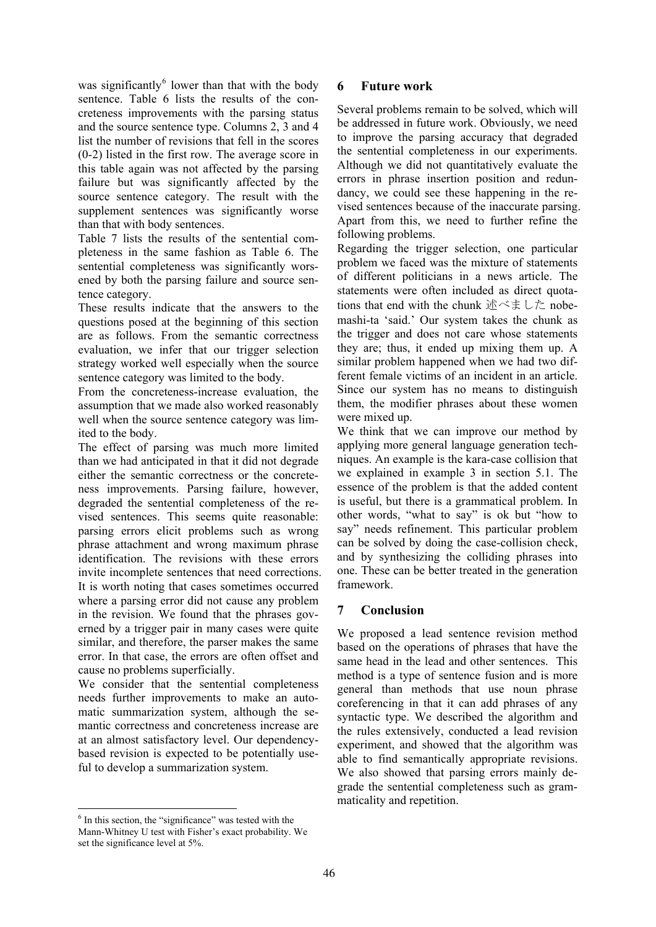was significantly $^6$  lower than that with the body sentence. Table 6 lists the results of the concreteness improvements with the parsing status and the source sentence type. Columns 2, 3 and 4 list the number of revisions that fell in the scores (0-2) listed in the first row. The average score in this table again was not affected by the parsing failure but was significantly affected by the source sentence category. The result with the supplement sentences was significantly worse than that with body sentences.

Table 7 lists the results of the sentential completeness in the same fashion as Table 6. The sentential completeness was significantly worsened by both the parsing failure and source sentence category.

These results indicate that the answers to the questions posed at the beginning of this section are as follows. From the semantic correctness evaluation, we infer that our trigger selection strategy worked well especially when the source sentence category was limited to the body.

From the concreteness-increase evaluation, the assumption that we made also worked reasonably well when the source sentence category was limited to the body.

The effect of parsing was much more limited than we had anticipated in that it did not degrade either the semantic correctness or the concreteness improvements. Parsing failure, however, degraded the sentential completeness of the revised sentences. This seems quite reasonable: parsing errors elicit problems such as wrong phrase attachment and wrong maximum phrase identification. The revisions with these errors invite incomplete sentences that need corrections. It is worth noting that cases sometimes occurred where a parsing error did not cause any problem in the revision. We found that the phrases governed by a trigger pair in many cases were quite similar, and therefore, the parser makes the same error. In that case, the errors are often offset and cause no problems superficially.

We consider that the sentential completeness needs further improvements to make an automatic summarization system, although the semantic correctness and concreteness increase are at an almost satisfactory level. Our dependencybased revision is expected to be potentially useful to develop a summarization system.

## **6 Future work**

Several problems remain to be solved, which will be addressed in future work. Obviously, we need to improve the parsing accuracy that degraded the sentential completeness in our experiments. Although we did not quantitatively evaluate the errors in phrase insertion position and redundancy, we could see these happening in the revised sentences because of the inaccurate parsing. Apart from this, we need to further refine the following problems.

Regarding the trigger selection, one particular problem we faced was the mixture of statements of different politicians in a news article. The statements were often included as direct quotations that end with the chunk 述べました nobemashi-ta 'said.' Our system takes the chunk as the trigger and does not care whose statements they are; thus, it ended up mixing them up. A similar problem happened when we had two different female victims of an incident in an article. Since our system has no means to distinguish them, the modifier phrases about these women were mixed up.

We think that we can improve our method by applying more general language generation techniques. An example is the kara-case collision that we explained in example 3 in section 5.1. The essence of the problem is that the added content is useful, but there is a grammatical problem. In other words, "what to say" is ok but "how to say" needs refinement. This particular problem can be solved by doing the case-collision check, and by synthesizing the colliding phrases into one. These can be better treated in the generation framework.

## **7 Conclusion**

We proposed a lead sentence revision method based on the operations of phrases that have the same head in the lead and other sentences. This method is a type of sentence fusion and is more general than methods that use noun phrase coreferencing in that it can add phrases of any syntactic type. We described the algorithm and the rules extensively, conducted a lead revision experiment, and showed that the algorithm was able to find semantically appropriate revisions. We also showed that parsing errors mainly degrade the sentential completeness such as grammaticality and repetition.

<sup>&</sup>lt;sup>6</sup> In this section, the "significance" was tested with the Mann-Whitney U test with Fisher's exact probability. We set the significance level at 5%.